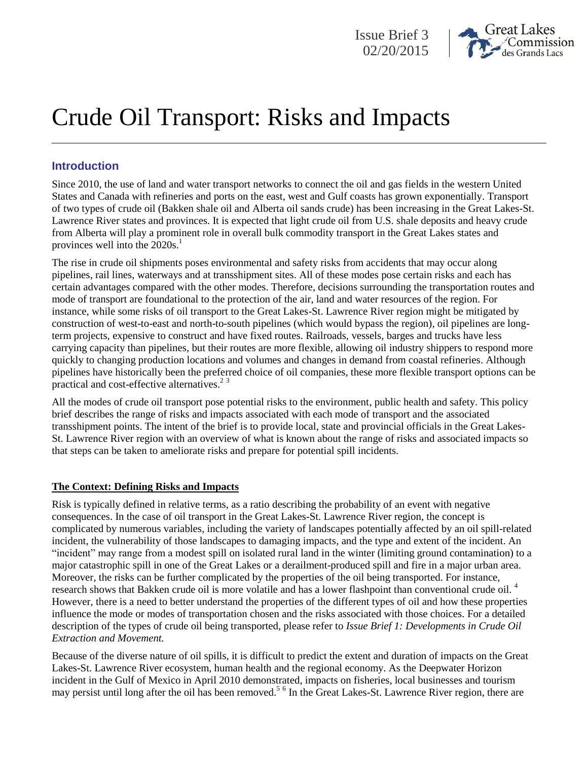



# Crude Oil Transport: Risks and Impacts

# **Introduction**

Since 2010, the use of land and water transport networks to connect the oil and gas fields in the western United States and Canada with refineries and ports on the east, west and Gulf coasts has grown exponentially. Transport of two types of crude oil (Bakken shale oil and Alberta oil sands crude) has been increasing in the Great Lakes-St. Lawrence River states and provinces. It is expected that light crude oil from U.S. shale deposits and heavy crude from Alberta will play a prominent role in overall bulk commodity transport in the Great Lakes states and provinces well into the 2020s. 1

The rise in crude oil shipments poses environmental and safety risks from accidents that may occur along pipelines, rail lines, waterways and at transshipment sites. All of these modes pose certain risks and each has certain advantages compared with the other modes. Therefore, decisions surrounding the transportation routes and mode of transport are foundational to the protection of the air, land and water resources of the region. For instance, while some risks of oil transport to the Great Lakes-St. Lawrence River region might be mitigated by construction of west-to-east and north-to-south pipelines (which would bypass the region), oil pipelines are longterm projects, expensive to construct and have fixed routes. Railroads, vessels, barges and trucks have less carrying capacity than pipelines, but their routes are more flexible, allowing oil industry shippers to respond more quickly to changing production locations and volumes and changes in demand from coastal refineries. Although pipelines have historically been the preferred choice of oil companies, these more flexible transport options can be practical and cost-effective alternatives.<sup>23</sup>

All the modes of crude oil transport pose potential risks to the environment, public health and safety. This policy brief describes the range of risks and impacts associated with each mode of transport and the associated transshipment points. The intent of the brief is to provide local, state and provincial officials in the Great Lakes-St. Lawrence River region with an overview of what is known about the range of risks and associated impacts so that steps can be taken to ameliorate risks and prepare for potential spill incidents.

## **The Context: Defining Risks and Impacts**

Risk is typically defined in relative terms, as a ratio describing the probability of an event with negative consequences. In the case of oil transport in the Great Lakes-St. Lawrence River region, the concept is complicated by numerous variables, including the variety of landscapes potentially affected by an oil spill-related incident, the vulnerability of those landscapes to damaging impacts, and the type and extent of the incident. An "incident" may range from a modest spill on isolated rural land in the winter (limiting ground contamination) to a major catastrophic spill in one of the Great Lakes or a derailment-produced spill and fire in a major urban area. Moreover, the risks can be further complicated by the properties of the oil being transported. For instance, research shows that Bakken crude oil is more volatile and has a lower flashpoint than conventional crude oil.<sup>4</sup> However, there is a need to better understand the properties of the different types of oil and how these properties influence the mode or modes of transportation chosen and the risks associated with those choices. For a detailed description of the types of crude oil being transported, please refer to *Issue Brief 1: Developments in Crude Oil Extraction and Movement.*

Because of the diverse nature of oil spills, it is difficult to predict the extent and duration of impacts on the Great Lakes-St. Lawrence River ecosystem, human health and the regional economy. As the Deepwater Horizon incident in the Gulf of Mexico in April 2010 demonstrated, impacts on fisheries, local businesses and tourism may persist until long after the oil has been removed.<sup>56</sup> In the Great Lakes-St. Lawrence River region, there are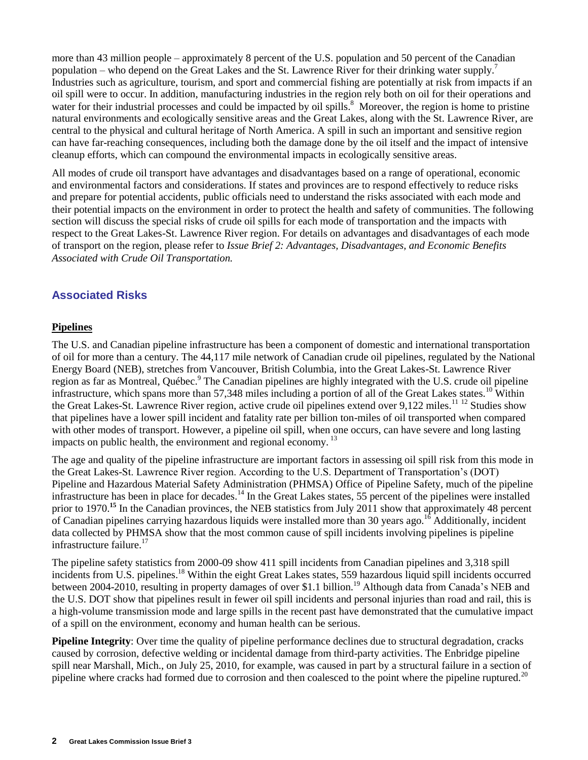more than 43 million people – approximately 8 percent of the U.S. population and 50 percent of the Canadian population – who depend on the Great Lakes and the St. Lawrence River for their drinking water supply.<sup>7</sup> Industries such as agriculture, tourism, and sport and commercial fishing are potentially at risk from impacts if an oil spill were to occur. In addition, manufacturing industries in the region rely both on oil for their operations and water for their industrial processes and could be impacted by oil spills.<sup>8</sup> Moreover, the region is home to pristine natural environments and ecologically sensitive areas and the Great Lakes, along with the St. Lawrence River, are central to the physical and cultural heritage of North America. A spill in such an important and sensitive region can have far-reaching consequences, including both the damage done by the oil itself and the impact of intensive cleanup efforts, which can compound the environmental impacts in ecologically sensitive areas.

All modes of crude oil transport have advantages and disadvantages based on a range of operational, economic and environmental factors and considerations. If states and provinces are to respond effectively to reduce risks and prepare for potential accidents, public officials need to understand the risks associated with each mode and their potential impacts on the environment in order to protect the health and safety of communities. The following section will discuss the special risks of crude oil spills for each mode of transportation and the impacts with respect to the Great Lakes-St. Lawrence River region. For details on advantages and disadvantages of each mode of transport on the region, please refer to *Issue Brief 2: Advantages, Disadvantages, and Economic Benefits Associated with Crude Oil Transportation.* 

# **Associated Risks**

## **Pipelines**

The U.S. and Canadian pipeline infrastructure has been a component of domestic and international transportation of oil for more than a century. The 44,117 mile network of Canadian crude oil pipelines, regulated by the National Energy Board (NEB), stretches from Vancouver, British Columbia, into the Great Lakes-St. Lawrence River region as far as Montreal, Québec.<sup>9</sup> The Canadian pipelines are highly integrated with the U.S. crude oil pipeline infrastructure, which spans more than 57,348 miles including a portion of all of the Great Lakes states.<sup>10</sup> Within the Great Lakes-St. Lawrence River region, active crude oil pipelines extend over 9,122 miles.<sup>11 12</sup> Studies show that pipelines have a lower spill incident and fatality rate per billion ton-miles of oil transported when compared with other modes of transport. However, a pipeline oil spill, when one occurs, can have severe and long lasting impacts on public health, the environment and regional economy.<sup>13</sup>

The age and quality of the pipeline infrastructure are important factors in assessing oil spill risk from this mode in the Great Lakes-St. Lawrence River region. According to the U.S. Department of Transportation's (DOT) Pipeline and Hazardous Material Safety Administration (PHMSA) Office of Pipeline Safety, much of the pipeline infrastructure has been in place for decades.<sup>14</sup> In the Great Lakes states, 55 percent of the pipelines were installed prior to 1970.<sup>15</sup> In the Canadian provinces, the NEB statistics from July 2011 show that approximately 48 percent of Canadian pipelines carrying hazardous liquids were installed more than 30 years ago.<sup>16</sup> Additionally, incident data collected by PHMSA show that the most common cause of spill incidents involving pipelines is pipeline infrastructure failure.<sup>17</sup>

The pipeline safety statistics from 2000-09 show 411 spill incidents from Canadian pipelines and 3,318 spill incidents from U.S. pipelines.<sup>18</sup> Within the eight Great Lakes states, 559 hazardous liquid spill incidents occurred between 2004-2010, resulting in property damages of over \$1.1 billion.<sup>19</sup> Although data from Canada's NEB and the U.S. DOT show that pipelines result in fewer oil spill incidents and personal injuries than road and rail, this is a high-volume transmission mode and large spills in the recent past have demonstrated that the cumulative impact of a spill on the environment, economy and human health can be serious.

**Pipeline Integrity**: Over time the quality of pipeline performance declines due to structural degradation, cracks caused by corrosion, defective welding or incidental damage from third-party activities. The Enbridge pipeline spill near Marshall, Mich., on July 25, 2010, for example, was caused in part by a structural failure in a section of pipeline where cracks had formed due to corrosion and then coalesced to the point where the pipeline ruptured.<sup>20</sup>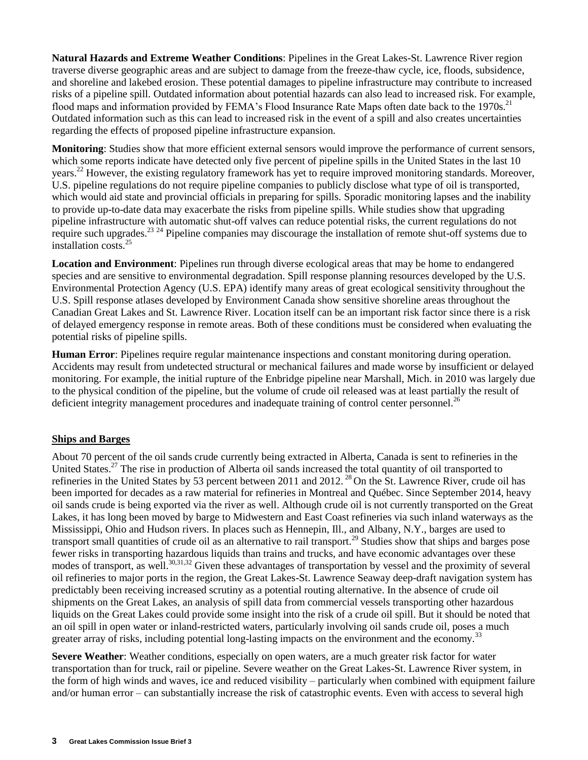**Natural Hazards and Extreme Weather Conditions**: Pipelines in the Great Lakes-St. Lawrence River region traverse diverse geographic areas and are subject to damage from the freeze-thaw cycle, ice, floods, subsidence, and shoreline and lakebed erosion. These potential damages to pipeline infrastructure may contribute to increased risks of a pipeline spill. Outdated information about potential hazards can also lead to increased risk. For example, flood maps and information provided by FEMA's Flood Insurance Rate Maps often date back to the 1970s.<sup>21</sup> Outdated information such as this can lead to increased risk in the event of a spill and also creates uncertainties regarding the effects of proposed pipeline infrastructure expansion.

**Monitoring**: Studies show that more efficient external sensors would improve the performance of current sensors, which some reports indicate have detected only five percent of pipeline spills in the United States in the last 10 years.<sup>22</sup> However, the existing regulatory framework has yet to require improved monitoring standards. Moreover, U.S. pipeline regulations do not require pipeline companies to publicly disclose what type of oil is transported, which would aid state and provincial officials in preparing for spills. Sporadic monitoring lapses and the inability to provide up-to-date data may exacerbate the risks from pipeline spills. While studies show that upgrading pipeline infrastructure with automatic shut-off valves can reduce potential risks, the current regulations do not require such upgrades.<sup>23 24</sup> Pipeline companies may discourage the installation of remote shut-off systems due to installation costs.<sup>25</sup>

**Location and Environment**: Pipelines run through diverse ecological areas that may be home to endangered species and are sensitive to environmental degradation. Spill response planning resources developed by the U.S. Environmental Protection Agency (U.S. EPA) identify many areas of great ecological sensitivity throughout the U.S. Spill response atlases developed by Environment Canada show sensitive shoreline areas throughout the Canadian Great Lakes and St. Lawrence River. Location itself can be an important risk factor since there is a risk of delayed emergency response in remote areas. Both of these conditions must be considered when evaluating the potential risks of pipeline spills.

**Human Error**: Pipelines require regular maintenance inspections and constant monitoring during operation. Accidents may result from undetected structural or mechanical failures and made worse by insufficient or delayed monitoring. For example, the initial rupture of the Enbridge pipeline near Marshall, Mich. in 2010 was largely due to the physical condition of the pipeline, but the volume of crude oil released was at least partially the result of deficient integrity management procedures and inadequate training of control center personnel.<sup>26</sup>

## **Ships and Barges**

About 70 percent of the oil sands crude currently being extracted in Alberta, Canada is sent to refineries in the United States.<sup>27</sup> The rise in production of Alberta oil sands increased the total quantity of oil transported to refineries in the United States by 53 percent between 2011 and 2012.<sup>28</sup> On the St. Lawrence River, crude oil has been imported for decades as a raw material for refineries in Montreal and Québec. Since September 2014, heavy oil sands crude is being exported via the river as well. Although crude oil is not currently transported on the Great Lakes, it has long been moved by barge to Midwestern and East Coast refineries via such inland waterways as the Mississippi, Ohio and Hudson rivers. In places such as Hennepin, Ill., and Albany, N.Y., barges are used to transport small quantities of crude oil as an alternative to rail transport.<sup>29</sup> Studies show that ships and barges pose fewer risks in transporting hazardous liquids than trains and trucks, and have economic advantages over these modes of transport, as well.<sup>30,31,32</sup> Given these advantages of transportation by vessel and the proximity of several oil refineries to major ports in the region, the Great Lakes-St. Lawrence Seaway deep-draft navigation system has predictably been receiving increased scrutiny as a potential routing alternative. In the absence of crude oil shipments on the Great Lakes, an analysis of spill data from commercial vessels transporting other hazardous liquids on the Great Lakes could provide some insight into the risk of a crude oil spill. But it should be noted that an oil spill in open water or inland-restricted waters, particularly involving oil sands crude oil, poses a much greater array of risks, including potential long-lasting impacts on the environment and the economy.<sup>33</sup>

**Severe Weather:** Weather conditions, especially on open waters, are a much greater risk factor for water transportation than for truck, rail or pipeline. Severe weather on the Great Lakes-St. Lawrence River system, in the form of high winds and waves, ice and reduced visibility – particularly when combined with equipment failure and/or human error – can substantially increase the risk of catastrophic events. Even with access to several high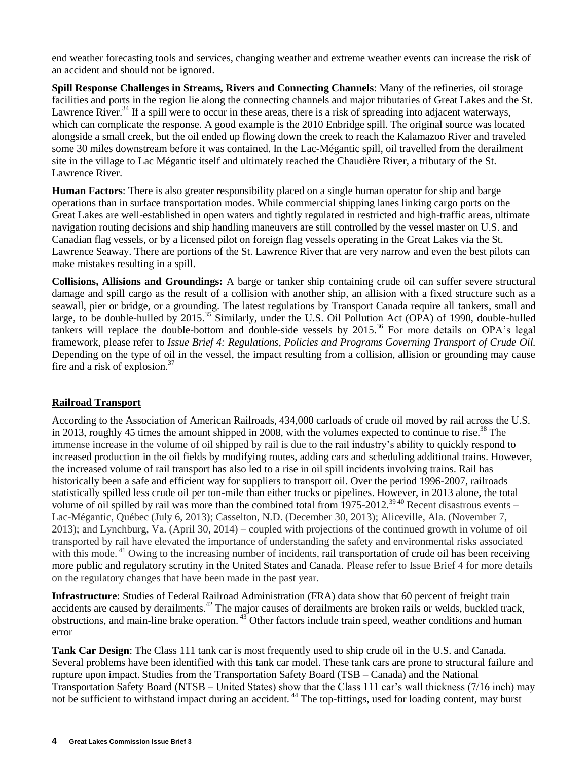end weather forecasting tools and services, changing weather and extreme weather events can increase the risk of an accident and should not be ignored.

**Spill Response Challenges in Streams, Rivers and Connecting Channels**: Many of the refineries, oil storage facilities and ports in the region lie along the connecting channels and major tributaries of Great Lakes and the St. Lawrence River.<sup>34</sup> If a spill were to occur in these areas, there is a risk of spreading into adjacent waterways, which can complicate the response. A good example is the 2010 Enbridge spill. The original source was located alongside a small creek, but the oil ended up flowing down the creek to reach the Kalamazoo River and traveled some 30 miles downstream before it was contained. In the Lac-Mégantic spill, oil travelled from the derailment site in the village to Lac Mégantic itself and ultimately reached the Chaudière River, a tributary of the St. Lawrence River.

**Human Factors**: There is also greater responsibility placed on a single human operator for ship and barge operations than in surface transportation modes. While commercial shipping lanes linking cargo ports on the Great Lakes are well-established in open waters and tightly regulated in restricted and high-traffic areas, ultimate navigation routing decisions and ship handling maneuvers are still controlled by the vessel master on U.S. and Canadian flag vessels, or by a licensed pilot on foreign flag vessels operating in the Great Lakes via the St. Lawrence Seaway. There are portions of the St. Lawrence River that are very narrow and even the best pilots can make mistakes resulting in a spill.

**Collisions, Allisions and Groundings:** A barge or tanker ship containing crude oil can suffer severe structural damage and spill cargo as the result of a collision with another ship, an allision with a fixed structure such as a seawall, pier or bridge, or a grounding. The latest regulations by Transport Canada require all tankers, small and large, to be double-hulled by 2015.<sup>35</sup> Similarly, under the U.S. Oil Pollution Act (OPA) of 1990, double-hulled tankers will replace the double-bottom and double-side vessels by 2015.<sup>36</sup> For more details on OPA's legal framework, please refer to *Issue Brief 4: Regulations, Policies and Programs Governing Transport of Crude Oil.* Depending on the type of oil in the vessel, the impact resulting from a collision, allision or grounding may cause fire and a risk of explosion. $37$ 

## **Railroad Transport**

According to the Association of American Railroads, 434,000 carloads of crude oil moved by rail across the U.S. in 2013, roughly 45 times the amount shipped in 2008, with the volumes expected to continue to rise.<sup>38</sup> The immense increase in the volume of oil shipped by rail is due to the rail industry's ability to quickly respond to increased production in the oil fields by modifying routes, adding cars and scheduling additional trains. However, the increased volume of rail transport has also led to a rise in oil spill incidents involving trains. Rail has historically been a safe and efficient way for suppliers to transport oil. Over the period 1996-2007, railroads statistically spilled less crude oil per ton-mile than either trucks or pipelines. However, in 2013 alone, the total volume of oil spilled by rail was more than the combined total from 1975-2012.<sup>3940</sup> Recent disastrous events – Lac-Mégantic, Québec (July 6, 2013); Casselton, N.D. (December 30, 2013); Aliceville, Ala. (November 7, 2013); and Lynchburg, Va. (April 30, 2014) – coupled with projections of the continued growth in volume of oil transported by rail have elevated the importance of understanding the safety and environmental risks associated with this mode.<sup>41</sup> Owing to the increasing number of incidents, rail transportation of crude oil has been receiving more public and regulatory scrutiny in the United States and Canada. Please refer to Issue Brief 4 for more details on the regulatory changes that have been made in the past year.

**Infrastructure**: Studies of Federal Railroad Administration (FRA) data show that 60 percent of freight train accidents are caused by derailments.<sup>42</sup> The major causes of derailments are broken rails or welds, buckled track, obstructions, and main-line brake operation. <sup>43</sup> Other factors include train speed, weather conditions and human error

**Tank Car Design**: The Class 111 tank car is most frequently used to ship crude oil in the U.S. and Canada. Several problems have been identified with this tank car model. These tank cars are prone to structural failure and rupture upon impact. Studies from the Transportation Safety Board (TSB – Canada) and the National Transportation Safety Board (NTSB – United States) show that the Class 111 car's wall thickness (7/16 inch) may not be sufficient to withstand impact during an accident.<sup>44</sup> The top-fittings, used for loading content, may burst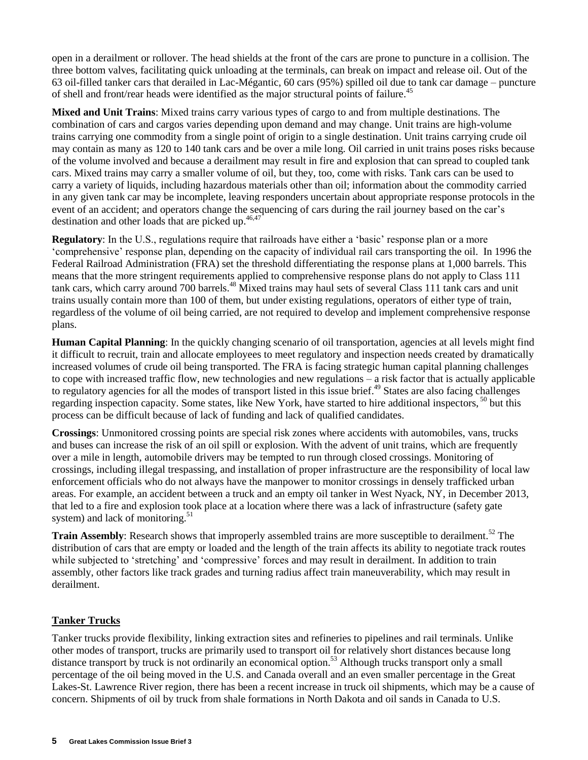open in a derailment or rollover. The head shields at the front of the cars are prone to puncture in a collision. The three bottom valves, facilitating quick unloading at the terminals, can break on impact and release oil. Out of the 63 oil-filled tanker cars that derailed in Lac-Mégantic, 60 cars (95%) spilled oil due to tank car damage – puncture of shell and front/rear heads were identified as the major structural points of failure.<sup>45</sup>

**Mixed and Unit Trains**: Mixed trains carry various types of cargo to and from multiple destinations. The combination of cars and cargos varies depending upon demand and may change. Unit trains are high-volume trains carrying one commodity from a single point of origin to a single destination. Unit trains carrying crude oil may contain as many as 120 to 140 tank cars and be over a mile long. Oil carried in unit trains poses risks because of the volume involved and because a derailment may result in fire and explosion that can spread to coupled tank cars. Mixed trains may carry a smaller volume of oil, but they, too, come with risks. Tank cars can be used to carry a variety of liquids, including hazardous materials other than oil; information about the commodity carried in any given tank car may be incomplete, leaving responders uncertain about appropriate response protocols in the event of an accident; and operators change the sequencing of cars during the rail journey based on the car's destination and other loads that are picked up.<sup>46,47</sup>

**Regulatory**: In the U.S., regulations require that railroads have either a 'basic' response plan or a more 'comprehensive' response plan, depending on the capacity of individual rail cars transporting the oil. In 1996 the Federal Railroad Administration (FRA) set the threshold differentiating the response plans at 1,000 barrels. This means that the more stringent requirements applied to comprehensive response plans do not apply to Class 111 tank cars, which carry around 700 barrels.<sup>48</sup> Mixed trains may haul sets of several Class 111 tank cars and unit trains usually contain more than 100 of them, but under existing regulations, operators of either type of train, regardless of the volume of oil being carried, are not required to develop and implement comprehensive response plans.

**Human Capital Planning**: In the quickly changing scenario of oil transportation, agencies at all levels might find it difficult to recruit, train and allocate employees to meet regulatory and inspection needs created by dramatically increased volumes of crude oil being transported. The FRA is facing strategic human capital planning challenges to cope with increased traffic flow, new technologies and new regulations – a risk factor that is actually applicable to regulatory agencies for all the modes of transport listed in this issue brief.<sup>49</sup> States are also facing challenges regarding inspection capacity. Some states, like New York, have started to hire additional inspectors, <sup>50</sup> but this process can be difficult because of lack of funding and lack of qualified candidates.

**Crossings**: Unmonitored crossing points are special risk zones where accidents with automobiles, vans, trucks and buses can increase the risk of an oil spill or explosion. With the advent of unit trains, which are frequently over a mile in length, automobile drivers may be tempted to run through closed crossings. Monitoring of crossings, including illegal trespassing, and installation of proper infrastructure are the responsibility of local law enforcement officials who do not always have the manpower to monitor crossings in densely trafficked urban areas. For example, an accident between a truck and an empty oil tanker in West Nyack, NY, in December 2013, that led to a fire and explosion took place at a location where there was a lack of infrastructure (safety gate system) and lack of monitoring.<sup>51</sup>

**Train Assembly**: Research shows that improperly assembled trains are more susceptible to derailment.<sup>52</sup> The distribution of cars that are empty or loaded and the length of the train affects its ability to negotiate track routes while subjected to 'stretching' and 'compressive' forces and may result in derailment. In addition to train assembly, other factors like track grades and turning radius affect train maneuverability, which may result in derailment.

## **Tanker Trucks**

Tanker trucks provide flexibility, linking extraction sites and refineries to pipelines and rail terminals. Unlike other modes of transport, trucks are primarily used to transport oil for relatively short distances because long distance transport by truck is not ordinarily an economical option.<sup>53</sup> Although trucks transport only a small percentage of the oil being moved in the U.S. and Canada overall and an even smaller percentage in the Great Lakes-St. Lawrence River region, there has been a recent increase in truck oil shipments, which may be a cause of concern. Shipments of oil by truck from shale formations in North Dakota and oil sands in Canada to U.S.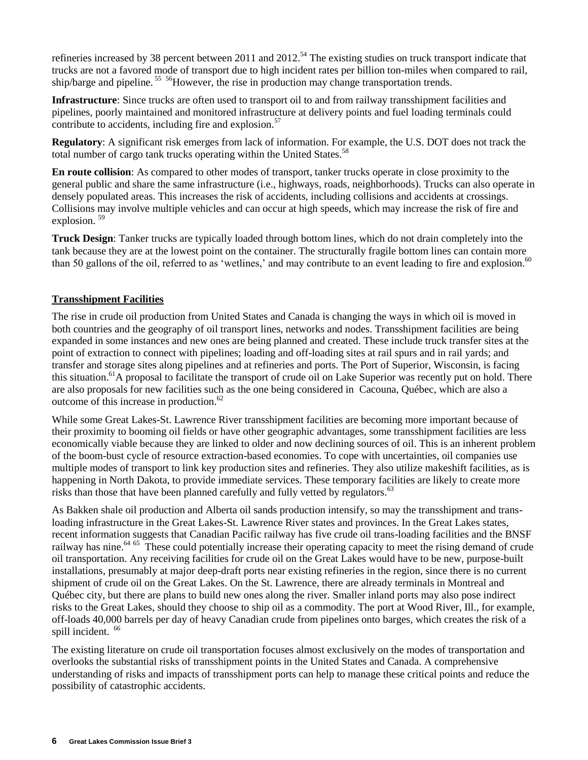refineries increased by 38 percent between 2011 and 2012.<sup>54</sup> The existing studies on truck transport indicate that trucks are not a favored mode of transport due to high incident rates per billion ton-miles when compared to rail, ship/barge and pipeline.<sup>55</sup> <sup>56</sup>However, the rise in production may change transportation trends.

**Infrastructure**: Since trucks are often used to transport oil to and from railway transshipment facilities and pipelines, poorly maintained and monitored infrastructure at delivery points and fuel loading terminals could contribute to accidents, including fire and explosion.<sup>57</sup>

**Regulatory**: A significant risk emerges from lack of information. For example, the U.S. DOT does not track the total number of cargo tank trucks operating within the United States.<sup>58</sup>

**En route collision**: As compared to other modes of transport, tanker trucks operate in close proximity to the general public and share the same infrastructure (i.e., highways, roads, neighborhoods). Trucks can also operate in densely populated areas. This increases the risk of accidents, including collisions and accidents at crossings. Collisions may involve multiple vehicles and can occur at high speeds, which may increase the risk of fire and explosion.<sup>59</sup>

**Truck Design**: Tanker trucks are typically loaded through bottom lines, which do not drain completely into the tank because they are at the lowest point on the container. The structurally fragile bottom lines can contain more than 50 gallons of the oil, referred to as 'wetlines,' and may contribute to an event leading to fire and explosion.<sup>60</sup>

## **Transshipment Facilities**

The rise in crude oil production from United States and Canada is changing the ways in which oil is moved in both countries and the geography of oil transport lines, networks and nodes. Transshipment facilities are being expanded in some instances and new ones are being planned and created. These include truck transfer sites at the point of extraction to connect with pipelines; loading and off-loading sites at rail spurs and in rail yards; and transfer and storage sites along pipelines and at refineries and ports. The Port of Superior, Wisconsin, is facing this situation.<sup>61</sup>A proposal to facilitate the transport of crude oil on Lake Superior was recently put on hold. There are also proposals for new facilities such as the one being considered in Cacouna, Québec, which are also a outcome of this increase in production.<sup>62</sup>

While some Great Lakes-St. Lawrence River transshipment facilities are becoming more important because of their proximity to booming oil fields or have other geographic advantages, some transshipment facilities are less economically viable because they are linked to older and now declining sources of oil. This is an inherent problem of the boom-bust cycle of resource extraction-based economies. To cope with uncertainties, oil companies use multiple modes of transport to link key production sites and refineries. They also utilize makeshift facilities, as is happening in North Dakota, to provide immediate services. These temporary facilities are likely to create more risks than those that have been planned carefully and fully vetted by regulators.<sup>63</sup>

As Bakken shale oil production and Alberta oil sands production intensify, so may the transshipment and transloading infrastructure in the Great Lakes-St. Lawrence River states and provinces. In the Great Lakes states, recent information suggests that Canadian Pacific railway has five crude oil trans-loading facilities and the BNSF railway has nine.<sup>64 65</sup> These could potentially increase their operating capacity to meet the rising demand of crude oil transportation. Any receiving facilities for crude oil on the Great Lakes would have to be new, purpose-built installations, presumably at major deep-draft ports near existing refineries in the region, since there is no current shipment of crude oil on the Great Lakes. On the St. Lawrence, there are already terminals in Montreal and Québec city, but there are plans to build new ones along the river. Smaller inland ports may also pose indirect risks to the Great Lakes, should they choose to ship oil as a commodity. The port at Wood River, Ill., for example, off-loads 40,000 barrels per day of heavy Canadian crude from pipelines onto barges, which creates the risk of a spill incident. <sup>66</sup>

The existing literature on crude oil transportation focuses almost exclusively on the modes of transportation and overlooks the substantial risks of transshipment points in the United States and Canada. A comprehensive understanding of risks and impacts of transshipment ports can help to manage these critical points and reduce the possibility of catastrophic accidents.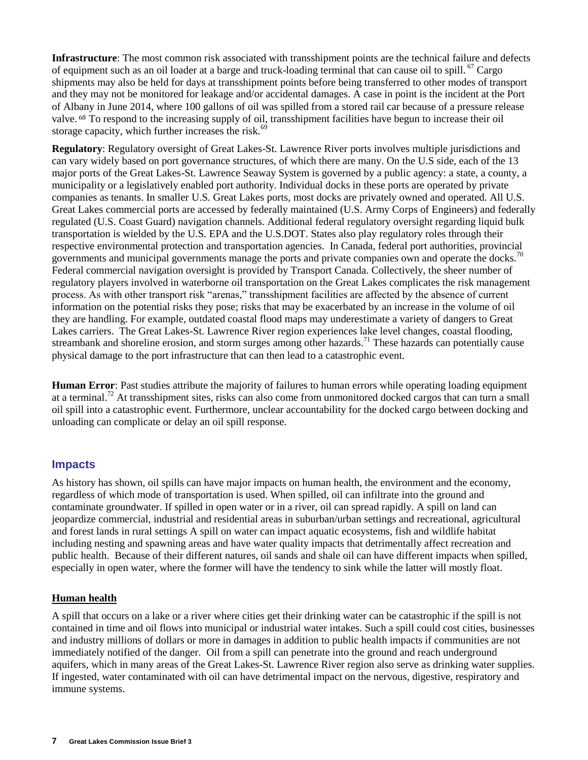**Infrastructure**: The most common risk associated with transshipment points are the technical failure and defects of equipment such as an oil loader at a barge and truck-loading terminal that can cause oil to spill. <sup>67</sup> Cargo shipments may also be held for days at transshipment points before being transferred to other modes of transport and they may not be monitored for leakage and/or accidental damages. A case in point is the incident at the Port of Albany in June 2014, where 100 gallons of oil was spilled from a stored rail car because of a pressure release valve. <sup>68</sup> To respond to the increasing supply of oil, transshipment facilities have begun to increase their oil storage capacity, which further increases the risk. $69$ 

**Regulatory**: Regulatory oversight of Great Lakes-St. Lawrence River ports involves multiple jurisdictions and can vary widely based on port governance structures, of which there are many. On the U.S side, each of the 13 major ports of the Great Lakes-St. Lawrence Seaway System is governed by a public agency: a state, a county, a municipality or a legislatively enabled port authority. Individual docks in these ports are operated by private companies as tenants. In smaller U.S. Great Lakes ports, most docks are privately owned and operated. All U.S. Great Lakes commercial ports are accessed by federally maintained (U.S. Army Corps of Engineers) and federally regulated (U.S. Coast Guard) navigation channels. Additional federal regulatory oversight regarding liquid bulk transportation is wielded by the U.S. EPA and the U.S.DOT. States also play regulatory roles through their respective environmental protection and transportation agencies. In Canada, federal port authorities, provincial governments and municipal governments manage the ports and private companies own and operate the docks.<sup>70</sup> Federal commercial navigation oversight is provided by Transport Canada. Collectively, the sheer number of regulatory players involved in waterborne oil transportation on the Great Lakes complicates the risk management process. As with other transport risk "arenas," transshipment facilities are affected by the absence of current information on the potential risks they pose; risks that may be exacerbated by an increase in the volume of oil they are handling. For example, outdated coastal flood maps may underestimate a variety of dangers to Great Lakes carriers. The Great Lakes-St. Lawrence River region experiences lake level changes, coastal flooding, streambank and shoreline erosion, and storm surges among other hazards.<sup>71</sup> These hazards can potentially cause physical damage to the port infrastructure that can then lead to a catastrophic event.

**Human Error**: Past studies attribute the majority of failures to human errors while operating loading equipment at a terminal.<sup>72</sup> At transshipment sites, risks can also come from unmonitored docked cargos that can turn a small oil spill into a catastrophic event. Furthermore, unclear accountability for the docked cargo between docking and unloading can complicate or delay an oil spill response.

## **Impacts**

As history has shown, oil spills can have major impacts on human health, the environment and the economy, regardless of which mode of transportation is used. When spilled, oil can infiltrate into the ground and contaminate groundwater. If spilled in open water or in a river, oil can spread rapidly. A spill on land can jeopardize commercial, industrial and residential areas in suburban/urban settings and recreational, agricultural and forest lands in rural settings A spill on water can impact aquatic ecosystems, fish and wildlife habitat including nesting and spawning areas and have water quality impacts that detrimentally affect recreation and public health. Because of their different natures, oil sands and shale oil can have different impacts when spilled, especially in open water, where the former will have the tendency to sink while the latter will mostly float.

## **Human health**

A spill that occurs on a lake or a river where cities get their drinking water can be catastrophic if the spill is not contained in time and oil flows into municipal or industrial water intakes. Such a spill could cost cities, businesses and industry millions of dollars or more in damages in addition to public health impacts if communities are not immediately notified of the danger. Oil from a spill can penetrate into the ground and reach underground aquifers, which in many areas of the Great Lakes-St. Lawrence River region also serve as drinking water supplies. If ingested, water contaminated with oil can have detrimental impact on the nervous, digestive, respiratory and immune systems.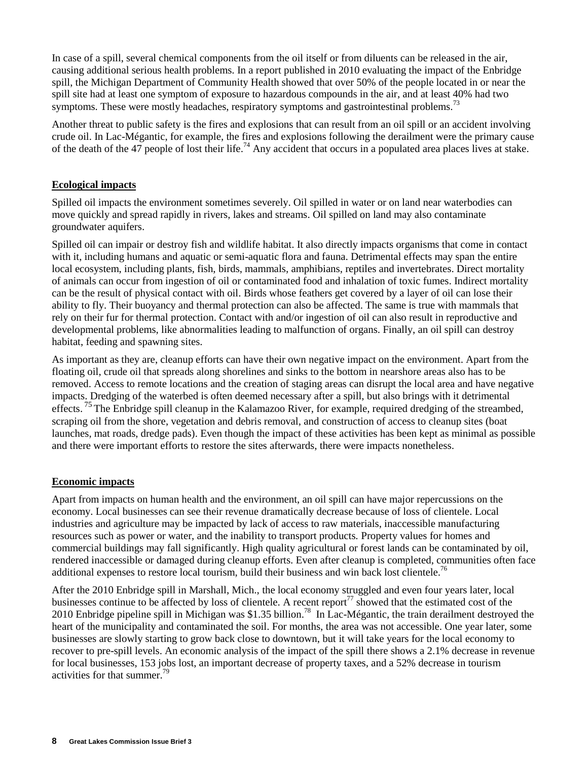In case of a spill, several chemical components from the oil itself or from diluents can be released in the air, causing additional serious health problems. In a report published in 2010 evaluating the impact of the Enbridge spill, the Michigan Department of Community Health showed that over 50% of the people located in or near the spill site had at least one symptom of exposure to hazardous compounds in the air, and at least 40% had two symptoms. These were mostly headaches, respiratory symptoms and gastrointestinal problems.<sup>73</sup>

Another threat to public safety is the fires and explosions that can result from an oil spill or an accident involving crude oil. In Lac-Mégantic, for example, the fires and explosions following the derailment were the primary cause of the death of the 47 people of lost their life.<sup>74</sup> Any accident that occurs in a populated area places lives at stake.

## **Ecological impacts**

Spilled oil impacts the environment sometimes severely. Oil spilled in water or on land near waterbodies can move quickly and spread rapidly in rivers, lakes and streams. Oil spilled on land may also contaminate groundwater aquifers.

Spilled oil can impair or destroy fish and wildlife habitat. It also directly impacts organisms that come in contact with it, including humans and aquatic or semi-aquatic flora and fauna. Detrimental effects may span the entire local ecosystem, including plants, fish, birds, mammals, amphibians, reptiles and invertebrates. Direct mortality of animals can occur from ingestion of oil or contaminated food and inhalation of toxic fumes. Indirect mortality can be the result of physical contact with oil. Birds whose feathers get covered by a layer of oil can lose their ability to fly. Their buoyancy and thermal protection can also be affected. The same is true with mammals that rely on their fur for thermal protection. Contact with and/or ingestion of oil can also result in reproductive and developmental problems, like abnormalities leading to malfunction of organs. Finally, an oil spill can destroy habitat, feeding and spawning sites.

As important as they are, cleanup efforts can have their own negative impact on the environment. Apart from the floating oil, crude oil that spreads along shorelines and sinks to the bottom in nearshore areas also has to be removed. Access to remote locations and the creation of staging areas can disrupt the local area and have negative impacts. Dredging of the waterbed is often deemed necessary after a spill, but also brings with it detrimental effects.<sup>75</sup> The Enbridge spill cleanup in the Kalamazoo River, for example, required dredging of the streambed, scraping oil from the shore, vegetation and debris removal, and construction of access to cleanup sites (boat launches, mat roads, dredge pads). Even though the impact of these activities has been kept as minimal as possible and there were important efforts to restore the sites afterwards, there were impacts nonetheless.

## **Economic impacts**

Apart from impacts on human health and the environment, an oil spill can have major repercussions on the economy. Local businesses can see their revenue dramatically decrease because of loss of clientele. Local industries and agriculture may be impacted by lack of access to raw materials, inaccessible manufacturing resources such as power or water, and the inability to transport products. Property values for homes and commercial buildings may fall significantly. High quality agricultural or forest lands can be contaminated by oil, rendered inaccessible or damaged during cleanup efforts. Even after cleanup is completed, communities often face additional expenses to restore local tourism, build their business and win back lost clientele.<sup>76</sup>

After the 2010 Enbridge spill in Marshall, Mich., the local economy struggled and even four years later, local businesses continue to be affected by loss of clientele. A recent report<sup>77</sup> showed that the estimated cost of the 2010 Enbridge pipeline spill in Michigan was \$1.35 billion.<sup>78</sup> In Lac-Mégantic, the train derailment destroyed the heart of the municipality and contaminated the soil. For months, the area was not accessible. One year later, some businesses are slowly starting to grow back close to downtown, but it will take years for the local economy to recover to pre-spill levels. An economic analysis of the impact of the spill there shows a 2.1% decrease in revenue for local businesses, 153 jobs lost, an important decrease of property taxes, and a 52% decrease in tourism activities for that summer.<sup>79</sup>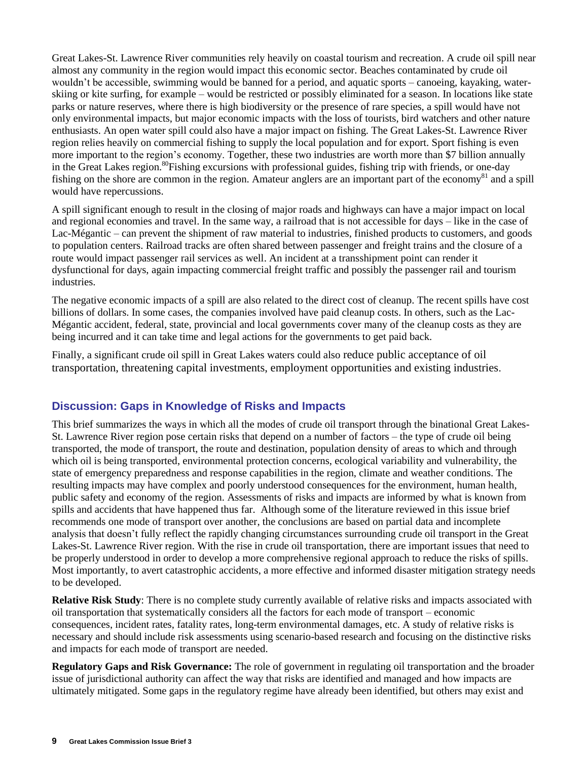Great Lakes-St. Lawrence River communities rely heavily on coastal tourism and recreation. A crude oil spill near almost any community in the region would impact this economic sector. Beaches contaminated by crude oil wouldn't be accessible, swimming would be banned for a period, and aquatic sports – canoeing, kayaking, waterskiing or kite surfing, for example – would be restricted or possibly eliminated for a season. In locations like state parks or nature reserves, where there is high biodiversity or the presence of rare species, a spill would have not only environmental impacts, but major economic impacts with the loss of tourists, bird watchers and other nature enthusiasts. An open water spill could also have a major impact on fishing. The Great Lakes-St. Lawrence River region relies heavily on commercial fishing to supply the local population and for export. Sport fishing is even more important to the region's economy. Together, these two industries are worth more than \$7 billion annually in the Great Lakes region.<sup>80</sup>Fishing excursions with professional guides, fishing trip with friends, or one-day fishing on the shore are common in the region. Amateur anglers are an important part of the economy<sup>81</sup> and a spill would have repercussions.

A spill significant enough to result in the closing of major roads and highways can have a major impact on local and regional economies and travel. In the same way, a railroad that is not accessible for days – like in the case of Lac-Mégantic – can prevent the shipment of raw material to industries, finished products to customers, and goods to population centers. Railroad tracks are often shared between passenger and freight trains and the closure of a route would impact passenger rail services as well. An incident at a transshipment point can render it dysfunctional for days, again impacting commercial freight traffic and possibly the passenger rail and tourism industries.

The negative economic impacts of a spill are also related to the direct cost of cleanup. The recent spills have cost billions of dollars. In some cases, the companies involved have paid cleanup costs. In others, such as the Lac-Mégantic accident, federal, state, provincial and local governments cover many of the cleanup costs as they are being incurred and it can take time and legal actions for the governments to get paid back.

Finally, a significant crude oil spill in Great Lakes waters could also reduce public acceptance of oil transportation, threatening capital investments, employment opportunities and existing industries.

# **Discussion: Gaps in Knowledge of Risks and Impacts**

This brief summarizes the ways in which all the modes of crude oil transport through the binational Great Lakes-St. Lawrence River region pose certain risks that depend on a number of factors – the type of crude oil being transported, the mode of transport, the route and destination, population density of areas to which and through which oil is being transported, environmental protection concerns, ecological variability and vulnerability, the state of emergency preparedness and response capabilities in the region, climate and weather conditions. The resulting impacts may have complex and poorly understood consequences for the environment, human health, public safety and economy of the region. Assessments of risks and impacts are informed by what is known from spills and accidents that have happened thus far. Although some of the literature reviewed in this issue brief recommends one mode of transport over another, the conclusions are based on partial data and incomplete analysis that doesn't fully reflect the rapidly changing circumstances surrounding crude oil transport in the Great Lakes-St. Lawrence River region. With the rise in crude oil transportation, there are important issues that need to be properly understood in order to develop a more comprehensive regional approach to reduce the risks of spills. Most importantly, to avert catastrophic accidents, a more effective and informed disaster mitigation strategy needs to be developed.

**Relative Risk Study**: There is no complete study currently available of relative risks and impacts associated with oil transportation that systematically considers all the factors for each mode of transport – economic consequences, incident rates, fatality rates, long-term environmental damages, etc. A study of relative risks is necessary and should include risk assessments using scenario-based research and focusing on the distinctive risks and impacts for each mode of transport are needed.

**Regulatory Gaps and Risk Governance:** The role of government in regulating oil transportation and the broader issue of jurisdictional authority can affect the way that risks are identified and managed and how impacts are ultimately mitigated. Some gaps in the regulatory regime have already been identified, but others may exist and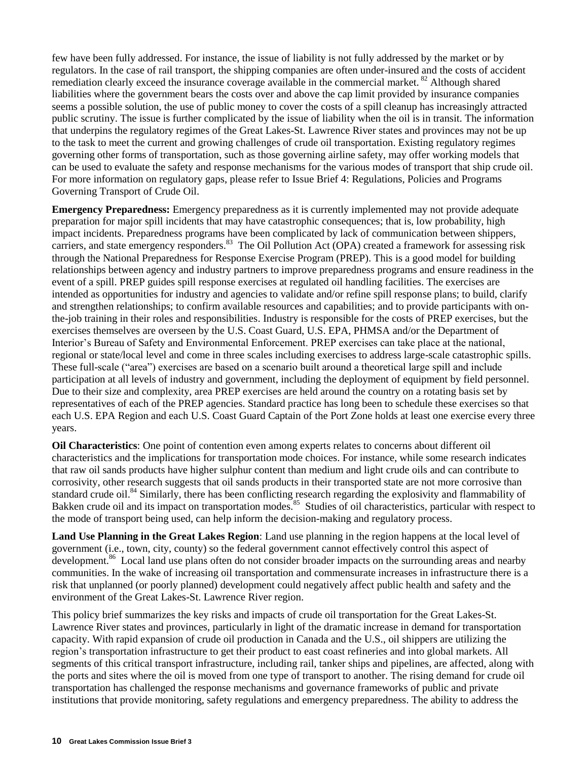few have been fully addressed. For instance, the issue of liability is not fully addressed by the market or by regulators. In the case of rail transport, the shipping companies are often under-insured and the costs of accident remediation clearly exceed the insurance coverage available in the commercial market. <sup>82</sup> Although shared liabilities where the government bears the costs over and above the cap limit provided by insurance companies seems a possible solution, the use of public money to cover the costs of a spill cleanup has increasingly attracted public scrutiny. The issue is further complicated by the issue of liability when the oil is in transit. The information that underpins the regulatory regimes of the Great Lakes-St. Lawrence River states and provinces may not be up to the task to meet the current and growing challenges of crude oil transportation. Existing regulatory regimes governing other forms of transportation, such as those governing airline safety, may offer working models that can be used to evaluate the safety and response mechanisms for the various modes of transport that ship crude oil. For more information on regulatory gaps, please refer to Issue Brief 4: Regulations, Policies and Programs Governing Transport of Crude Oil.

**Emergency Preparedness:** Emergency preparedness as it is currently implemented may not provide adequate preparation for major spill incidents that may have catastrophic consequences; that is, low probability, high impact incidents. Preparedness programs have been complicated by lack of communication between shippers, carriers, and state emergency responders.<sup>83</sup> The Oil Pollution Act (OPA) created a framework for assessing risk through the National Preparedness for Response Exercise Program (PREP). This is a good model for building relationships between agency and industry partners to improve preparedness programs and ensure readiness in the event of a spill. PREP guides spill response exercises at regulated oil handling facilities. The exercises are intended as opportunities for industry and agencies to validate and/or refine spill response plans; to build, clarify and strengthen relationships; to confirm available resources and capabilities; and to provide participants with onthe-job training in their roles and responsibilities. Industry is responsible for the costs of PREP exercises, but the exercises themselves are overseen by the U.S. Coast Guard, U.S. EPA, PHMSA and/or the Department of Interior's Bureau of Safety and Environmental Enforcement. PREP exercises can take place at the national, regional or state/local level and come in three scales including exercises to address large-scale catastrophic spills. These full-scale ("area") exercises are based on a scenario built around a theoretical large spill and include participation at all levels of industry and government, including the deployment of equipment by field personnel. Due to their size and complexity, area PREP exercises are held around the country on a rotating basis set by representatives of each of the PREP agencies. Standard practice has long been to schedule these exercises so that each U.S. EPA Region and each U.S. Coast Guard Captain of the Port Zone holds at least one exercise every three years.

**Oil Characteristics**: One point of contention even among experts relates to concerns about different oil characteristics and the implications for transportation mode choices. For instance, while some research indicates that raw oil sands products have higher sulphur content than medium and light crude oils and can contribute to corrosivity, other research suggests that oil sands products in their transported state are not more corrosive than standard crude oil.<sup>84</sup> Similarly, there has been conflicting research regarding the explosivity and flammability of Bakken crude oil and its impact on transportation modes.<sup>85</sup> Studies of oil characteristics, particular with respect to the mode of transport being used, can help inform the decision-making and regulatory process.

**Land Use Planning in the Great Lakes Region**: Land use planning in the region happens at the local level of government (i.e., town, city, county) so the federal government cannot effectively control this aspect of development.<sup>86</sup> Local land use plans often do not consider broader impacts on the surrounding areas and nearby communities. In the wake of increasing oil transportation and commensurate increases in infrastructure there is a risk that unplanned (or poorly planned) development could negatively affect public health and safety and the environment of the Great Lakes-St. Lawrence River region.

This policy brief summarizes the key risks and impacts of crude oil transportation for the Great Lakes-St. Lawrence River states and provinces, particularly in light of the dramatic increase in demand for transportation capacity. With rapid expansion of crude oil production in Canada and the U.S., oil shippers are utilizing the region's transportation infrastructure to get their product to east coast refineries and into global markets. All segments of this critical transport infrastructure, including rail, tanker ships and pipelines, are affected, along with the ports and sites where the oil is moved from one type of transport to another. The rising demand for crude oil transportation has challenged the response mechanisms and governance frameworks of public and private institutions that provide monitoring, safety regulations and emergency preparedness. The ability to address the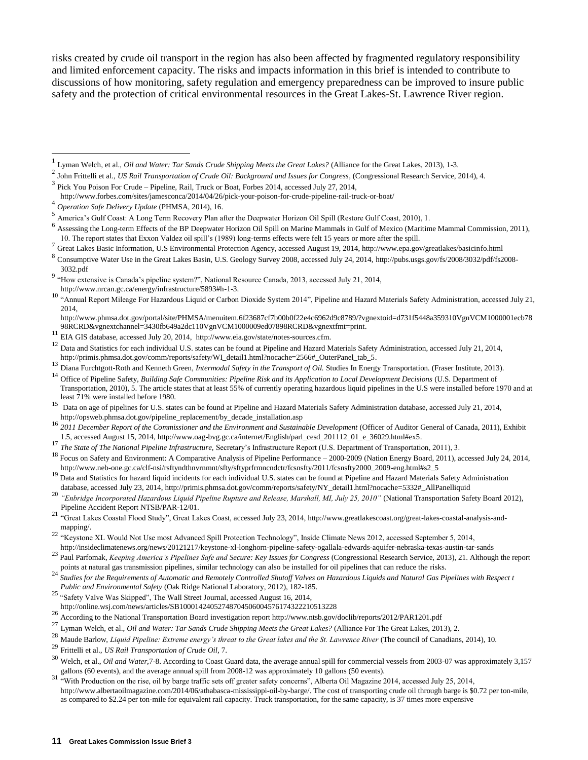risks created by crude oil transport in the region has also been affected by fragmented regulatory responsibility and limited enforcement capacity. The risks and impacts information in this brief is intended to contribute to discussions of how monitoring, safety regulation and emergency preparedness can be improved to insure public safety and the protection of critical environmental resources in the Great Lakes-St. Lawrence River region.

 $\overline{a}$ 

- <sup>17</sup> *The State of The National Pipeline Infrastructure,* Secretary's Infrastructure Report (U.S. Department of Transportation, 2011), 3.
- <sup>18</sup> Focus on Safety and Environment: A Comparative Analysis of Pipeline Performance 2000-2009 (Nation Energy Board, 2011), accessed July 24, 2014, [http://www.neb-one.gc.ca/clf-nsi/rsftyndthnvrnmnt/sfty/sftyprfrmncndctr/fcsnsfty/2011/fcsnsfty2000\\_2009-eng.html#s2\\_5](http://www.neb-one.gc.ca/clf-nsi/rsftyndthnvrnmnt/sfty/sftyprfrmncndctr/fcsnsfty/2011/fcsnsfty2000_2009-eng.html#s2_5)
- <sup>19</sup> Data and Statistics for hazard liquid incidents for each individual U.S. states can be found at Pipeline and Hazard Materials Safety Administration database, accessed July 23, 2014, [http://primis.phmsa.dot.gov/comm/reports/safety/NY\\_detail1.html?nocache=5332#\\_AllPanelliquid](http://primis.phmsa.dot.gov/comm/reports/safety/NY_detail1.html?nocache=5332#_AllPanelliquid)
- <sup>20</sup> *"Enbridge Incorporated Hazardous Liquid Pipeline Rupture and Release, Marshall, MI, July 25, 2010"* (National Transportation Safety Board 2012), Pipeline Accident Report NTSB/PAR-12/01.
- <sup>21</sup> "Great Lakes Coastal Flood Study", Great Lakes Coast, accessed July 23, 2014[, http://www.greatlakescoast.org/great-lakes-coastal-analysis-and](http://www.greatlakescoast.org/great-lakes-coastal-analysis-and-mapping/)[mapping/.](http://www.greatlakescoast.org/great-lakes-coastal-analysis-and-mapping/)

- <sup>25</sup> "Safety Valve Was Skipped", The Wall Street Journal, accessed August 16, 2014,
- <http://online.wsj.com/news/articles/SB10001424052748704506004576174322210513228>
- 26<br>According to the National Transportation Board investigation report http://www.ntsb.gov/doclib/reports/2012/PAR1201.pdf
- <sup>27</sup> Lyman Welch, et al., *Oil and Water: Tar Sands Crude Shipping Meets the Great Lakes?* (Alliance For The Great Lakes, 2013), 2.<br><sup>28</sup> Martin Party of Late Corporation Corporation of the Great Lakes<sup>2</sup> (Alliance For The

- <sup>29</sup> Frittelli et al., *US Rail Transportation of Crude Oil,* 7.
- <sup>30</sup> Welch, et al., *Oil and Water,*7-8. According to Coast Guard data, the average annual spill for commercial vessels from 2003-07 was approximately 3,157 gallons (60 events), and the average annual spill from 2008-12 was approximately 10 gallons (50 events).
- <sup>31</sup> "With Production on the rise, oil by barge traffic sets off greater safety concerns", Alberta Oil Magazine 2014, accessed July 25, 2014, [http://www.albertaoilmagazine.com/2014/06/athabasca-mississippi-oil-by-barge/.](http://www.albertaoilmagazine.com/2014/06/athabasca-mississippi-oil-by-barge/) The cost of transporting crude oil through barge is \$0.72 per ton-mile, as compared to \$2.24 per ton-mile for equivalent rail capacity. Truck transportation, for the same capacity, is 37 times more expensive

<sup>1</sup> Lyman Welch, et al., *Oil and Water: Tar Sands Crude Shipping Meets the Great Lakes?* (Alliance for the Great Lakes, 2013), 1-3. 2

John Frittelli et al., *US Rail Transportation of Crude Oil: Background and Issues for Congress*, (Congressional Research Service, 2014), 4.

<sup>3</sup> Pick You Poison For Crude – Pipeline, Rail, Truck or Boat, Forbes 2014, accessed July 27, 2014,

<http://www.forbes.com/sites/jamesconca/2014/04/26/pick-your-poison-for-crude-pipeline-rail-truck-or-boat/>

<sup>4</sup> *Operation Safe Delivery Update* (PHMSA, 2014), 16.

<sup>5</sup> America's Gulf Coast: A Long Term Recovery Plan after the Deepwater Horizon Oil Spill (Restore Gulf Coast, 2010), 1.

<sup>&</sup>lt;sup>6</sup> Assessing the Long-term Effects of the BP Deepwater Horizon Oil Spill on Marine Mammals in Gulf of Mexico (Maritime Mammal Commission, 2011), 10. The report states that Exxon Valdez oil spill's (1989) long-terms effects were felt 15 years or more after the spill. 7

Great Lakes Basic Information, U.S Environmental Protection Agency, accessed August 19, 2014, http://www.epa.gov/greatlakes/basicinfo.html

<sup>8</sup> Consumptive Water Use in the Great Lakes Basin, U.S. Geology Survey 2008, accessed July 24, 2014, [http://pubs.usgs.gov/fs/2008/3032/pdf/fs2008-](http://pubs.usgs.gov/fs/2008/3032/pdf/fs2008-3032.pdf) [3032.pdf](http://pubs.usgs.gov/fs/2008/3032/pdf/fs2008-3032.pdf)

<sup>&</sup>lt;sup>9</sup> "How extensive is Canada's pipeline system?", National Resource Canada, 2013, accessed July 21, 2014, [http://www.nrcan.gc.ca/energy/infrastructure/5893#h-1-3.](http://www.nrcan.gc.ca/energy/infrastructure/5893#h-1-3)

<sup>&</sup>lt;sup>10</sup> "Annual Report Mileage For Hazardous Liquid or Carbon Dioxide System 2014", Pipeline and Hazard Materials Safety Administration, accessed July 21, 2014,

[http://www.phmsa.dot.gov/portal/site/PHMSA/menuitem.6f23687cf7b00b0f22e4c6962d9c8789/?vgnextoid=d731f5448a359310VgnVCM1000001ecb78](http://www.phmsa.dot.gov/portal/site/PHMSA/menuitem.6f23687cf7b00b0f22e4c6962d9c8789/?vgnextoid=d731f5448a359310VgnVCM1000001ecb7898RCRD&vgnextchannel=3430fb649a2dc110VgnVCM1000009ed07898RCRD&vgnextfmt=print) [98RCRD&vgnextchannel=3430fb649a2dc110VgnVCM1000009ed07898RCRD&vgnextfmt=print.](http://www.phmsa.dot.gov/portal/site/PHMSA/menuitem.6f23687cf7b00b0f22e4c6962d9c8789/?vgnextoid=d731f5448a359310VgnVCM1000001ecb7898RCRD&vgnextchannel=3430fb649a2dc110VgnVCM1000009ed07898RCRD&vgnextfmt=print)

<sup>11</sup> EIA GIS database, accessed July 20, 2014, [http://www.eia.gov/state/notes-sources.cfm.](http://www.eia.gov/state/notes-sources.cfm)

<sup>&</sup>lt;sup>12</sup> Data and Statistics for each individual U.S. states can be found at Pipeline and Hazard Materials Safety Administration, accessed July 21, 2014, [http://primis.phmsa.dot.gov/comm/reports/safety/WI\\_detail1.html?nocache=2566#\\_OuterPanel\\_tab\\_5.](http://primis.phmsa.dot.gov/comm/reports/safety/WI_detail1.html?nocache=2566#_OuterPanel_tab_5)

<sup>&</sup>lt;sup>13</sup> Diana Furchtgott-Roth and Kenneth Green, *Intermodal Safety in the Transport of Oil.* Studies In Energy Transportation. (Fraser Institute, 2013).

<sup>&</sup>lt;sup>14</sup> Office of Pipeline Safety, *Building Safe Communities: Pipeline Risk and its Application to Local Development Decisions* (U.S. Department of Transportation, 2010), 5. The article states that at least 55% of currently operating hazardous liquid pipelines in the U.S were installed before 1970 and at least 71% were installed before 1980.

<sup>15</sup> Data on age of pipelines for U.S. states can be found at Pipeline and Hazard Materials Safety Administration database, accessed July 21, 2014, [http://opsweb.phmsa.dot.gov/pipeline\\_replacement/by\\_decade\\_installation.asp](http://opsweb.phmsa.dot.gov/pipeline_replacement/by_decade_installation.asp)

<sup>&</sup>lt;sup>16</sup> 2011 December Report of the Commissioner and the Environment and Sustainable Development (Officer of Auditor General of Canada, 2011), Exhibit 1.5, accessed August 15, 2014[, http://www.oag-bvg.gc.ca/internet/English/parl\\_cesd\\_201112\\_01\\_e\\_36029.html#ex5.](http://www.oag-bvg.gc.ca/internet/English/parl_cesd_201112_01_e_36029.html#ex5)

<sup>&</sup>lt;sup>22</sup> "Keystone XL Would Not Use most Advanced Spill Protection Technology", Inside Climate News 2012, accessed September 5, 2014, http://insideclimatenews.org/news/20121217/keystone-xl-longhorn-pipeline-safety-ogallala-edwards-aquifer-nebraska-texas-austin-tar-sands

<sup>23</sup> Paul Parfomak, *Keeping America's Pipelines Safe and Secure: Key Issues for Congress* (Congressional Research Service, 2013), 21. Although the report points at natural gas transmission pipelines, similar technology can also be installed for oil pipelines that can reduce the risks.

<sup>&</sup>lt;sup>24</sup> Studies for the Requirements of Automatic and Remotely Controlled Shutoff Valves on Hazardous Liquids and Natural Gas Pipelines with Respect t *Public and Environmental Safety* (Oak Ridge National Laboratory, 2012), 182-185.

Maude Barlow, *Liquid Pipeline: Extreme energy's threat to the Great lakes and the St. Lawrence River* (The council of Canadians, 2014), 10.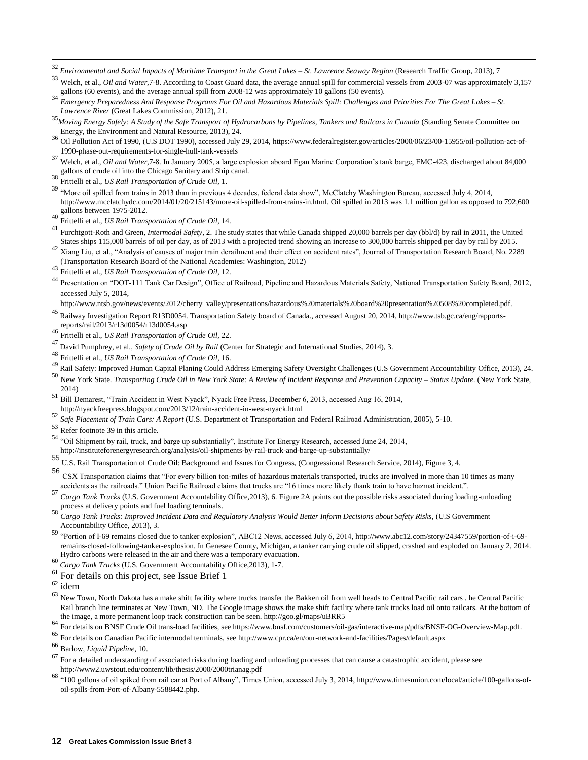<sup>32</sup> *Environmental and Social Impacts of Maritime Transport in the Great Lakes – St. Lawrence Seaway Region* (Research Traffic Group, 2013), 7

<sup>33</sup> Welch, et al., *Oil and Water*, 7-8. According to Coast Guard data, the average annual spill for commercial vessels from 2003-07 was approximately 3,157 gallons (60 events), and the average annual spill from 2008-12 was approximately 10 gallons (50 events).

- <sup>34</sup> *Emergency Preparedness And Response Programs For Oil and Hazardous Materials Spill: Challenges and Priorities For The Great Lakes – St. Lawrence River* (Great Lakes Commission, 2012), 21.
- <sup>35</sup>*Moving Energy Safely: A Study of the Safe Transport of Hydrocarbons by Pipelines, Tankers and Railcars in Canada* (Standing Senate Committee on Energy, the Environment and Natural Resource, 2013), 24.
- <sup>36</sup> Oil Pollution Act of 1990, (U.S DOT 1990), accessed July 29, 2014, [https://www.federalregister.gov/articles/2000/06/23/00-15955/oil-pollution-act-of-](https://www.federalregister.gov/articles/2000/06/23/00-15955/oil-pollution-act-of-1990-phase-out-requirements-for-single-hull-tank-vessels)[1990-phase-out-requirements-for-single-hull-tank-vessels](https://www.federalregister.gov/articles/2000/06/23/00-15955/oil-pollution-act-of-1990-phase-out-requirements-for-single-hull-tank-vessels)
- <sup>37</sup> Welch, et al., *Oil and Water,*7-8. In January 2005, a large explosion aboard Egan Marine Corporation's tank barge, EMC-423, discharged about 84,000 gallons of crude oil into the Chicago Sanitary and Ship canal.
- <sup>38</sup> Frittelli et al., *US Rail Transportation of Crude Oil,* 1.

 $\overline{a}$ 

- <sup>39</sup> "More oil spilled from trains in 2013 than in previous 4 decades, federal data show", McClatchy Washington Bureau, accessed July 4, 2014, [http://www.mcclatchydc.com/2014/01/20/215143/more-oil-spilled-from-trains-in.html.](http://www.mcclatchydc.com/2014/01/20/215143/more-oil-spilled-from-trains-in.html) Oil spilled in 2013 was 1.1 million gallon as opposed to 792,600 gallons between 1975-2012.
- <sup>40</sup> Frittelli et al., *US Rail Transportation of Crude Oil,* 14.
- <sup>41</sup> Furchtgott-Roth and Green, *Intermodal Safety*, 2. The study states that while Canada shipped 20,000 barrels per day (bbl/d) by rail in 2011, the United States ships 115,000 barrels of oil per day, as of 2013 with a projected trend showing an increase to 300,000 barrels shipped per day by rail by 2015.
- 42 Xiang Liu, et al., "Analysis of causes of major train derailment and their effect on accident rates", Journal of Transportation Research Board, No. 2289 (Transportation Research Board of the National Academies: Washington, 2012)
- <sup>43</sup> Frittelli et al., *US Rail Transportation of Crude Oil,* 12.
- <sup>44</sup> Presentation on "DOT-111 Tank Car Design", Office of Railroad, Pipeline and Hazardous Materials Safety, National Transportation Safety Board, 2012, accessed July 5, 2014,
- [http://www.ntsb.gov/news/events/2012/cherry\\_valley/presentations/hazardous%20materials%20board%20presentation%20508%20completed.pdf.](http://www.ntsb.gov/news/events/2012/cherry_valley/presentations/hazardous%20materials%20board%20presentation%20508%20completed.pdf)
- <sup>45</sup> Railway Investigation Report R13D0054. Transportation Safety board of Canada., accessed August 20, 2014, http://www.tsb.gc.ca/eng/rapportsreports/rail/2013/r13d0054/r13d0054.asp
- <sup>46</sup> Frittelli et al., *US Rail Transportation of Crude Oil,* 22.
- 47 David Pumphrey, et al., *Safety of Crude Oil by Rail* (Center for Strategic and International Studies, 2014), 3.<br><sup>48</sup> Frittalli at al. *IIS Rail Transportation of Crude Oil* 16.
- <sup>48</sup> Frittelli et al., *US Rail Transportation of Crude Oil,* 16.
- 49 Rail Safety: Improved Human Capital Planing Could Address Emerging Safety Oversight Challenges (U.S Government Accountability Office, 2013), 24.
- <sup>50</sup> New York State. *Transporting Crude Oil in New York State: A Review of Incident Response and Prevention Capacity – Status Update*. (New York State, 2014)
- <sup>51</sup> Bill Demarest, "Train Accident in West Nyack", Nyack Free Press, December 6, 2013, accessed Aug 16, 2014,
- <http://nyackfreepress.blogspot.com/2013/12/train-accident-in-west-nyack.html>
- <sup>52</sup> *Safe Placement of Train Cars: A Report* (U.S. Department of Transportation and Federal Railroad Administration, 2005), 5-10.
- <sup>53</sup> Refer footnote 39 in this article.
- <sup>54</sup> "Oil Shipment by rail, truck, and barge up substantially", Institute For Energy Research, accessed June 24, 2014,
- <http://instituteforenergyresearch.org/analysis/oil-shipments-by-rail-truck-and-barge-up-substantially/>
- 55 U.S. Rail Transportation of Crude Oil: Background and Issues for Congress, (Congressional Research Service, 2014), Figure 3, 4.
- <sup>56</sup> CSX Transportation claims that "For every billion ton-miles of hazardous materials transported, trucks are involved in more than 10 times as many accidents as the railroads." Union Pacific Railroad claims that trucks are "16 times more likely thank train to have hazmat incident.".
- <sup>57</sup> *Cargo Tank Trucks* (U.S. Government Accountability Office,2013), 6. Figure 2A points out the possible risks associated during loading-unloading process at delivery points and fuel loading terminals.
- <sup>58</sup> *Cargo Tank Trucks: Improved Incident Data and Regulatory Analysis Would Better Inform Decisions about Safety Risks*, (U.S Government Accountability Office, 2013), 3.
- <sup>59</sup> "Portion of I-69 remains closed due to tanker explosion", ABC12 News, accessed July 6, 2014[, http://www.abc12.com/story/24347559/portion-of-i-69](http://www.abc12.com/story/24347559/portion-of-i-69-remains-closed-following-tanker-explosion) [remains-closed-following-tanker-explosion.](http://www.abc12.com/story/24347559/portion-of-i-69-remains-closed-following-tanker-explosion) In Genesee County, Michigan, a tanker carrying crude oil slipped, crashed and exploded on January 2, 2014. Hydro carbons were released in the air and there was a temporary evacuation.
- <sup>60</sup> *Cargo Tank Trucks* (U.S. Government Accountability Office,2013), 1-7.
- <sup>61</sup> For details on this project, see Issue Brief 1
- $62$  idem
- <sup>63</sup> New Town, North Dakota has a make shift facility where trucks transfer the Bakken oil from well heads to Central Pacific rail cars . he Central Pacific Rail branch line terminates at New Town, ND. The Google image shows the make shift facility where tank trucks load oil onto railcars. At the bottom of the image, a more permanent loop track construction can be seen[. http://goo.gl/maps/uBRR5](http://goo.gl/maps/uBRR5)
- <sup>64</sup> For details on BNSF Crude Oil trans-load facilities, see https://www.bnsf.com/customers/oil-gas/interactive-map/pdfs/BNSF-OG-Overview-Map.pdf.
- <sup>65</sup> For details on Canadian Pacific intermodal terminals, se[e http://www.cpr.ca/en/our-network-and-facilities/Pages/default.aspx](http://www.cpr.ca/en/our-network-and-facilities/Pages/default.aspx)
- <sup>66</sup> Barlow, *Liquid Pipeline*, 10.
- $67$  For a detailed understanding of associated risks during loading and unloading processes that can cause a catastrophic accident, please see <http://www2.uwstout.edu/content/lib/thesis/2000/2000trianag.pdf>
- <sup>68</sup> "100 gallons of oil spiked from rail car at Port of Albany", Times Union, accessed July 3, 2014, [http://www.timesunion.com/local/article/100-gallons-of](http://www.timesunion.com/local/article/100-gallons-of-oil-spills-from-Port-of-Albany-5588442.php)[oil-spills-from-Port-of-Albany-5588442.php.](http://www.timesunion.com/local/article/100-gallons-of-oil-spills-from-Port-of-Albany-5588442.php)